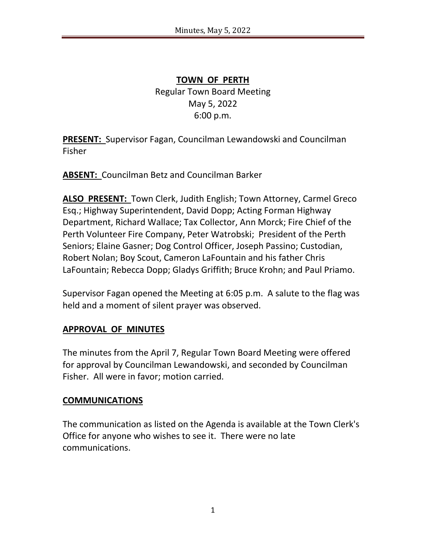**TOWN OF PERTH** Regular Town Board Meeting May 5, 2022 6:00 p.m.

**PRESENT:** Supervisor Fagan, Councilman Lewandowski and Councilman Fisher

**ABSENT:** Councilman Betz and Councilman Barker

**ALSO PRESENT:** Town Clerk, Judith English; Town Attorney, Carmel Greco Esq.; Highway Superintendent, David Dopp; Acting Forman Highway Department, Richard Wallace; Tax Collector, Ann Morck; Fire Chief of the Perth Volunteer Fire Company, Peter Watrobski; President of the Perth Seniors; Elaine Gasner; Dog Control Officer, Joseph Passino; Custodian, Robert Nolan; Boy Scout, Cameron LaFountain and his father Chris LaFountain; Rebecca Dopp; Gladys Griffith; Bruce Krohn; and Paul Priamo.

Supervisor Fagan opened the Meeting at 6:05 p.m. A salute to the flag was held and a moment of silent prayer was observed.

# **APPROVAL OF MINUTES**

The minutes from the April 7, Regular Town Board Meeting were offered for approval by Councilman Lewandowski, and seconded by Councilman Fisher. All were in favor; motion carried.

#### **COMMUNICATIONS**

The communication as listed on the Agenda is available at the Town Clerk's Office for anyone who wishes to see it. There were no late communications.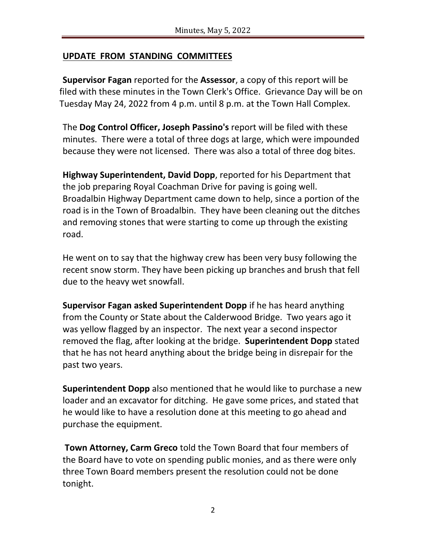## **UPDATE FROM STANDING COMMITTEES**

**Supervisor Fagan** reported for the **Assessor**, a copy of this report will be filed with these minutes in the Town Clerk's Office. Grievance Day will be on Tuesday May 24, 2022 from 4 p.m. until 8 p.m. at the Town Hall Complex.

The **Dog Control Officer, Joseph Passino's** report will be filed with these minutes. There were a total of three dogs at large, which were impounded because they were not licensed. There was also a total of three dog bites.

**Highway Superintendent, David Dopp**, reported for his Department that the job preparing Royal Coachman Drive for paving is going well. Broadalbin Highway Department came down to help, since a portion of the road is in the Town of Broadalbin. They have been cleaning out the ditches and removing stones that were starting to come up through the existing road.

He went on to say that the highway crew has been very busy following the recent snow storm. They have been picking up branches and brush that fell due to the heavy wet snowfall.

**Supervisor Fagan asked Superintendent Dopp** if he has heard anything from the County or State about the Calderwood Bridge. Two years ago it was yellow flagged by an inspector. The next year a second inspector removed the flag, after looking at the bridge. **Superintendent Dopp** stated that he has not heard anything about the bridge being in disrepair for the past two years.

**Superintendent Dopp** also mentioned that he would like to purchase a new loader and an excavator for ditching. He gave some prices, and stated that he would like to have a resolution done at this meeting to go ahead and purchase the equipment.

**Town Attorney, Carm Greco** told the Town Board that four members of the Board have to vote on spending public monies, and as there were only three Town Board members present the resolution could not be done tonight.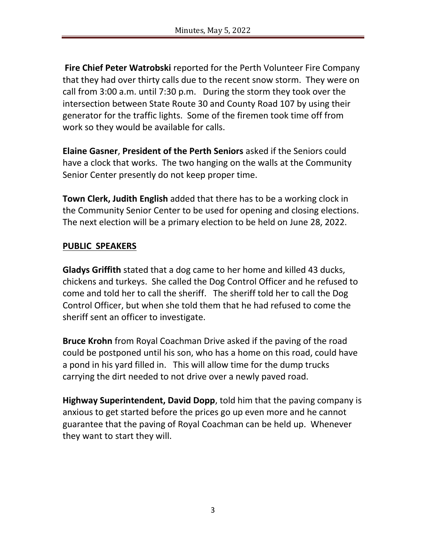**Fire Chief Peter Watrobski** reported for the Perth Volunteer Fire Company that they had over thirty calls due to the recent snow storm. They were on call from 3:00 a.m. until 7:30 p.m. During the storm they took over the intersection between State Route 30 and County Road 107 by using their generator for the traffic lights. Some of the firemen took time off from work so they would be available for calls.

**Elaine Gasner**, **President of the Perth Seniors** asked if the Seniors could have a clock that works. The two hanging on the walls at the Community Senior Center presently do not keep proper time.

**Town Clerk, Judith English** added that there has to be a working clock in the Community Senior Center to be used for opening and closing elections. The next election will be a primary election to be held on June 28, 2022.

#### **PUBLIC SPEAKERS**

**Gladys Griffith** stated that a dog came to her home and killed 43 ducks, chickens and turkeys. She called the Dog Control Officer and he refused to come and told her to call the sheriff. The sheriff told her to call the Dog Control Officer, but when she told them that he had refused to come the sheriff sent an officer to investigate.

**Bruce Krohn** from Royal Coachman Drive asked if the paving of the road could be postponed until his son, who has a home on this road, could have a pond in his yard filled in. This will allow time for the dump trucks carrying the dirt needed to not drive over a newly paved road.

**Highway Superintendent, David Dopp**, told him that the paving company is anxious to get started before the prices go up even more and he cannot guarantee that the paving of Royal Coachman can be held up. Whenever they want to start they will.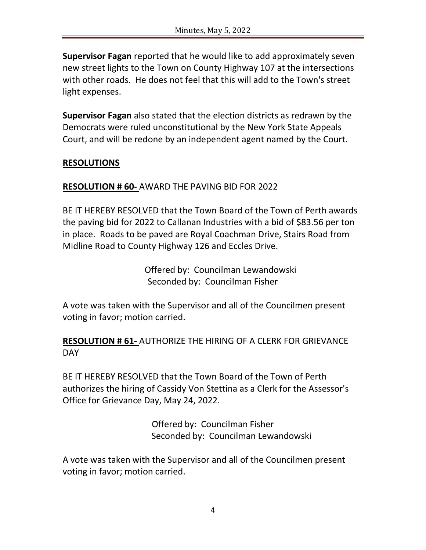**Supervisor Fagan** reported that he would like to add approximately seven new street lights to the Town on County Highway 107 at the intersections with other roads. He does not feel that this will add to the Town's street light expenses.

**Supervisor Fagan** also stated that the election districts as redrawn by the Democrats were ruled unconstitutional by the New York State Appeals Court, and will be redone by an independent agent named by the Court.

## **RESOLUTIONS**

## **RESOLUTION # 60-** AWARD THE PAVING BID FOR 2022

BE IT HEREBY RESOLVED that the Town Board of the Town of Perth awards the paving bid for 2022 to Callanan Industries with a bid of \$83.56 per ton in place. Roads to be paved are Royal Coachman Drive, Stairs Road from Midline Road to County Highway 126 and Eccles Drive.

> Offered by: Councilman Lewandowski Seconded by: Councilman Fisher

A vote was taken with the Supervisor and all of the Councilmen present voting in favor; motion carried.

#### **RESOLUTION # 61-** AUTHORIZE THE HIRING OF A CLERK FOR GRIEVANCE **DAY**

BE IT HEREBY RESOLVED that the Town Board of the Town of Perth authorizes the hiring of Cassidy Von Stettina as a Clerk for the Assessor's Office for Grievance Day, May 24, 2022.

> Offered by: Councilman Fisher Seconded by: Councilman Lewandowski

A vote was taken with the Supervisor and all of the Councilmen present voting in favor; motion carried.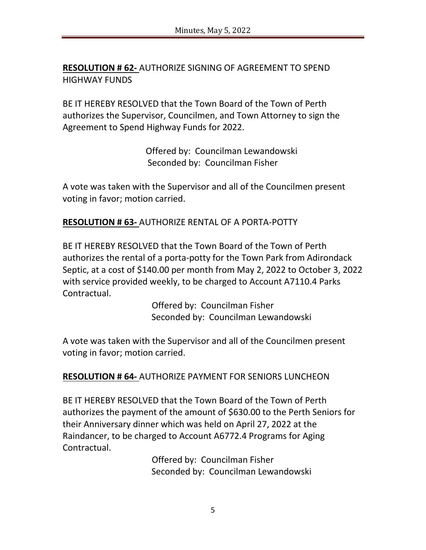**RESOLUTION # 62-** AUTHORIZE SIGNING OF AGREEMENT TO SPEND HIGHWAY FUNDS

BE IT HEREBY RESOLVED that the Town Board of the Town of Perth authorizes the Supervisor, Councilmen, and Town Attorney to sign the Agreement to Spend Highway Funds for 2022.

> Offered by: Councilman Lewandowski Seconded by: Councilman Fisher

A vote was taken with the Supervisor and all of the Councilmen present voting in favor; motion carried.

**RESOLUTION # 63-** AUTHORIZE RENTAL OF A PORTA-POTTY

BE IT HEREBY RESOLVED that the Town Board of the Town of Perth authorizes the rental of a porta-potty for the Town Park from Adirondack Septic, at a cost of \$140.00 per month from May 2, 2022 to October 3, 2022 with service provided weekly, to be charged to Account A7110.4 Parks Contractual.

> Offered by: Councilman Fisher Seconded by: Councilman Lewandowski

A vote was taken with the Supervisor and all of the Councilmen present voting in favor; motion carried.

**RESOLUTION # 64-** AUTHORIZE PAYMENT FOR SENIORS LUNCHEON

BE IT HEREBY RESOLVED that the Town Board of the Town of Perth authorizes the payment of the amount of \$630.00 to the Perth Seniors for their Anniversary dinner which was held on April 27, 2022 at the Raindancer, to be charged to Account A6772.4 Programs for Aging Contractual.

> Offered by: Councilman Fisher Seconded by: Councilman Lewandowski